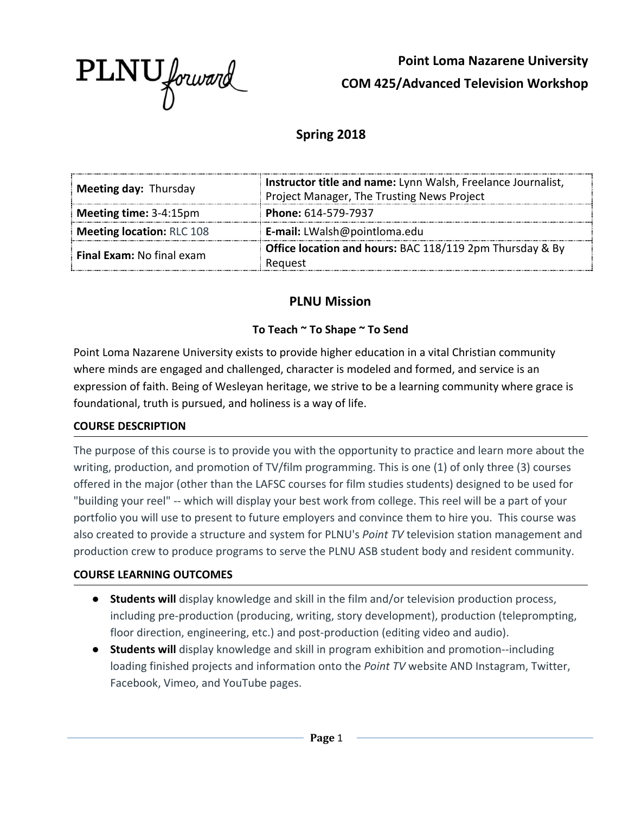

**Point Loma Nazarene University COM 425/Advanced Television Workshop**

# **Spring 2018**

| Meeting day: Thursday            | Instructor title and name: Lynn Walsh, Freelance Journalist, |  |
|----------------------------------|--------------------------------------------------------------|--|
|                                  | Project Manager, The Trusting News Project                   |  |
| Meeting time: 3-4:15pm           | Phone: 614-579-7937                                          |  |
| Meeting location: RLC 108        | E-mail: LWalsh@pointloma.edu                                 |  |
| <b>Final Exam: No final exam</b> | Office location and hours: BAC 118/119 2pm Thursday & By     |  |
|                                  | Reauest                                                      |  |

### **PLNU Mission**

### **To Teach ~ To Shape ~ To Send**

Point Loma Nazarene University exists to provide higher education in a vital Christian community where minds are engaged and challenged, character is modeled and formed, and service is an expression of faith. Being of Wesleyan heritage, we strive to be a learning community where grace is foundational, truth is pursued, and holiness is a way of life.

### **COURSE DESCRIPTION**

The purpose of this course is to provide you with the opportunity to practice and learn more about the writing, production, and promotion of TV/film programming. This is one (1) of only three (3) courses offered in the major (other than the LAFSC courses for film studies students) designed to be used for "building your reel" -- which will display your best work from college. This reel will be a part of your portfolio you will use to present to future employers and convince them to hire you. This course was also created to provide a structure and system for PLNU's *Point TV* television station management and production crew to produce programs to serve the PLNU ASB student body and resident community.

### **COURSE LEARNING OUTCOMES**

- **● Students will** display knowledge and skill in the film and/or television production process, including pre-production (producing, writing, story development), production (teleprompting, floor direction, engineering, etc.) and post-production (editing video and audio).
- **● Students will** display knowledge and skill in program exhibition and promotion--including loading finished projects and information onto the *Point TV* website AND Instagram, Twitter, Facebook, Vimeo, and YouTube pages.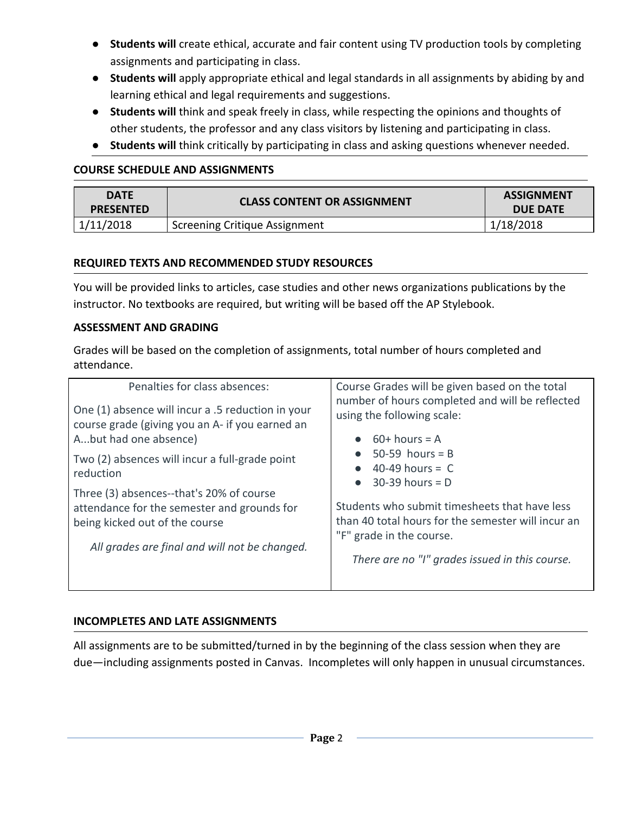- **● Students will** create ethical, accurate and fair content using TV production tools by completing assignments and participating in class.
- **Students will** apply appropriate ethical and legal standards in all assignments by abiding by and learning ethical and legal requirements and suggestions.
- **Students will** think and speak freely in class, while respecting the opinions and thoughts of other students, the professor and any class visitors by listening and participating in class.
- **Students will** think critically by participating in class and asking questions whenever needed.

#### **COURSE SCHEDULE AND ASSIGNMENTS**

| <b>DATE</b><br><b>PRESENTED</b> | <b>CLASS CONTENT OR ASSIGNMENT</b>   | <b>ASSIGNMENT</b><br><b>DUE DATE</b> |
|---------------------------------|--------------------------------------|--------------------------------------|
| 1/11/2018                       | <b>Screening Critique Assignment</b> | 1/18/2018                            |

#### **REQUIRED TEXTS AND RECOMMENDED STUDY RESOURCES**

You will be provided links to articles, case studies and other news organizations publications by the instructor. No textbooks are required, but writing will be based off the AP Stylebook.

#### **ASSESSMENT AND GRADING**

Grades will be based on the completion of assignments, total number of hours completed and attendance.

| Penalties for class absences:                               | Course Grades will be given based on the total                                        |
|-------------------------------------------------------------|---------------------------------------------------------------------------------------|
| One (1) absence will incur a .5 reduction in your           | number of hours completed and will be reflected                                       |
| course grade (giving you an A- if you earned an             | using the following scale:                                                            |
| Abut had one absence)                                       | $60+$ hours = A                                                                       |
| Two (2) absences will incur a full-grade point<br>reduction | $50-59$ hours = B<br>$40-49$ hours = C<br>$\bullet$<br>$30-39$ hours = D<br>$\bullet$ |
| Three (3) absences--that's 20% of course                    | Students who submit timesheets that have less                                         |
| attendance for the semester and grounds for                 | than 40 total hours for the semester will incur an                                    |
| being kicked out of the course                              | "F" grade in the course.                                                              |
| All grades are final and will not be changed.               | There are no "I" grades issued in this course.                                        |

### **INCOMPLETES AND LATE ASSIGNMENTS**

All assignments are to be submitted/turned in by the beginning of the class session when they are due—including assignments posted in Canvas. Incompletes will only happen in unusual circumstances.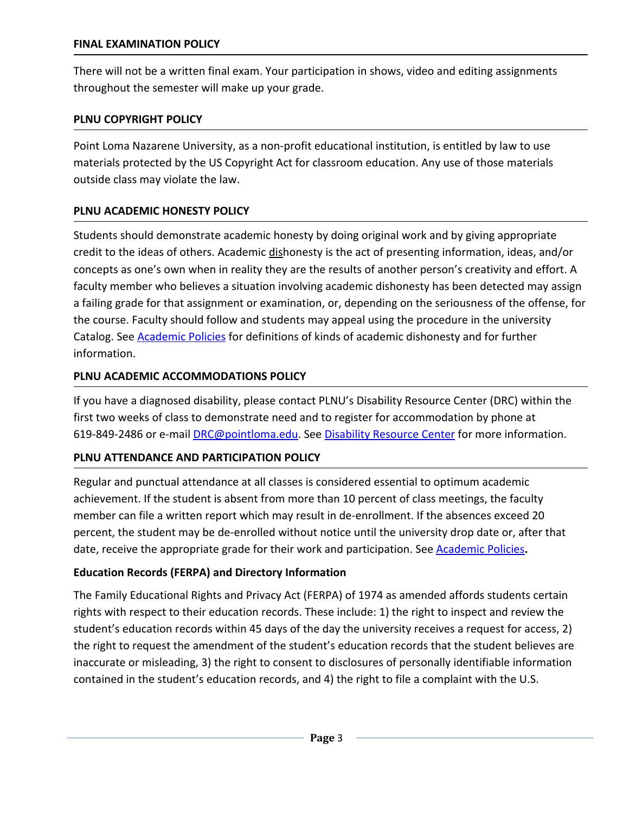There will not be a written final exam. Your participation in shows, video and editing assignments throughout the semester will make up your grade.

### **PLNU COPYRIGHT POLICY**

Point Loma Nazarene University, as a non-profit educational institution, is entitled by law to use materials protected by the US Copyright Act for classroom education. Any use of those materials outside class may violate the law.

## **PLNU ACADEMIC HONESTY POLICY**

Students should demonstrate academic honesty by doing original work and by giving appropriate credit to the ideas of others. Academic dishonesty is the act of presenting information, ideas, and/or concepts as one's own when in reality they are the results of another person's creativity and effort. A faculty member who believes a situation involving academic dishonesty has been detected may assign a failing grade for that assignment or examination, or, depending on the seriousness of the offense, for the course. Faculty should follow and students may appeal using the procedure in the university Catalog. See [Academic Policies](http://catalog.pointloma.edu/content.php?catoid=18&navoid=1278) for definitions of kinds of academic dishonesty and for further information.

## **PLNU ACADEMIC ACCOMMODATIONS POLICY**

If you have a diagnosed disability, please contact PLNU's Disability Resource Center (DRC) within the first two weeks of class to demonstrate need and to register for accommodation by phone at 619-849-2486 or e-mail [DRC@pointloma.edu](mailto:DRC@pointloma.edu). See [Disability Resource Center](http://www.pointloma.edu/experience/offices/administrative-offices/academic-advising-office/disability-resource-center) for more information.

# **PLNU ATTENDANCE AND PARTICIPATION POLICY**

Regular and punctual attendance at all classes is considered essential to optimum academic achievement. If the student is absent from more than 10 percent of class meetings, the faculty member can file a written report which may result in de-enrollment. If the absences exceed 20 percent, the student may be de-enrolled without notice until the university drop date or, after that date, receive the appropriate grade for their work and participation. See [Academic Policies](http://catalog.pointloma.edu/content.php?catoid=18&navoid=1278)**.**

# **Education Records (FERPA) and Directory Information**

The Family Educational Rights and Privacy Act (FERPA) of 1974 as amended affords students certain rights with respect to their education records. These include: 1) the right to inspect and review the student's education records within 45 days of the day the university receives a request for access, 2) the right to request the amendment of the student's education records that the student believes are inaccurate or misleading, 3) the right to consent to disclosures of personally identifiable information contained in the student's education records, and 4) the right to file a complaint with the U.S.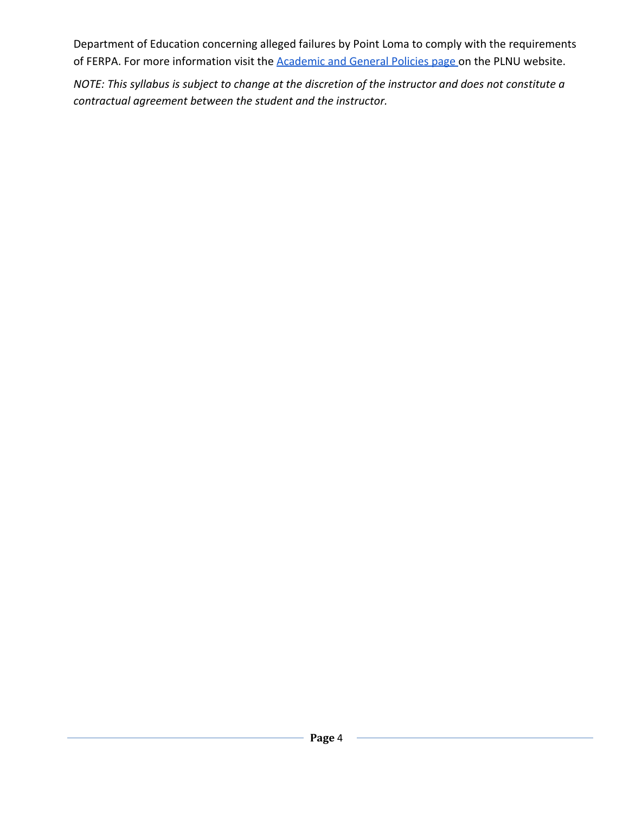Department of Education concerning alleged failures by Point Loma to comply with the requirements of FERPA. For more information visit the **Academic and General Policies page** on the PLNU website.

*NOTE: This syllabus is subject to change at the discretion of the instructor and does not constitute a contractual agreement between the student and the instructor.*